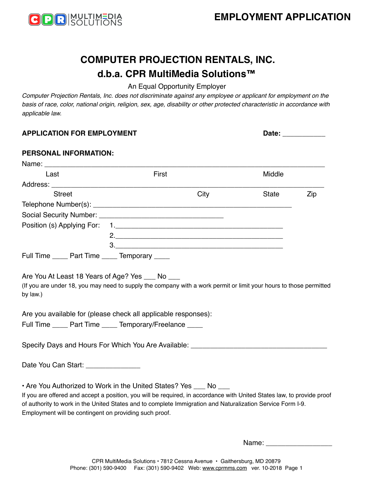

# **COMPUTER PROJECTION RENTALS, INC. d.b.a. CPR MultiMedia Solutions™**

## An Equal Opportunity Employer

*Computer Projection Rentals, Inc. does not discriminate against any employee or applicant for employment on the basis of race, color, national origin, religion, sex, age, disability or other protected characteristic in accordance with applicable law.* 

| <b>APPLICATION FOR EMPLOYMENT</b>                                                                                                      | Date: _____________                                                                                                                                                                                                                                                                                       |              |     |
|----------------------------------------------------------------------------------------------------------------------------------------|-----------------------------------------------------------------------------------------------------------------------------------------------------------------------------------------------------------------------------------------------------------------------------------------------------------|--------------|-----|
| PERSONAL INFORMATION:                                                                                                                  |                                                                                                                                                                                                                                                                                                           |              |     |
|                                                                                                                                        |                                                                                                                                                                                                                                                                                                           |              |     |
| Last                                                                                                                                   | First                                                                                                                                                                                                                                                                                                     | Middle       |     |
|                                                                                                                                        |                                                                                                                                                                                                                                                                                                           |              |     |
| <b>Street</b>                                                                                                                          | City                                                                                                                                                                                                                                                                                                      | <b>State</b> | Zip |
|                                                                                                                                        |                                                                                                                                                                                                                                                                                                           |              |     |
|                                                                                                                                        |                                                                                                                                                                                                                                                                                                           |              |     |
|                                                                                                                                        |                                                                                                                                                                                                                                                                                                           |              |     |
|                                                                                                                                        |                                                                                                                                                                                                                                                                                                           |              |     |
|                                                                                                                                        | 3.                                                                                                                                                                                                                                                                                                        |              |     |
| Full Time _____ Part Time _____ Temporary ____                                                                                         |                                                                                                                                                                                                                                                                                                           |              |     |
| by law.)<br>Are you available for (please check all applicable responses):<br>Full Time _____ Part Time _____ Temporary/Freelance ____ | (If you are under 18, you may need to supply the company with a work permit or limit your hours to those permitted                                                                                                                                                                                        |              |     |
|                                                                                                                                        | Specify Days and Hours For Which You Are Available: ____________________________                                                                                                                                                                                                                          |              |     |
| Date You Can Start: ________________                                                                                                   |                                                                                                                                                                                                                                                                                                           |              |     |
| Employment will be contingent on providing such proof.                                                                                 | • Are You Authorized to Work in the United States? Yes ___ No ___<br>If you are offered and accept a position, you will be required, in accordance with United States law, to provide proof<br>of authority to work in the United States and to complete Immigration and Naturalization Service Form I-9. |              |     |

Name: \_\_\_\_\_\_\_\_\_\_\_\_\_\_\_\_\_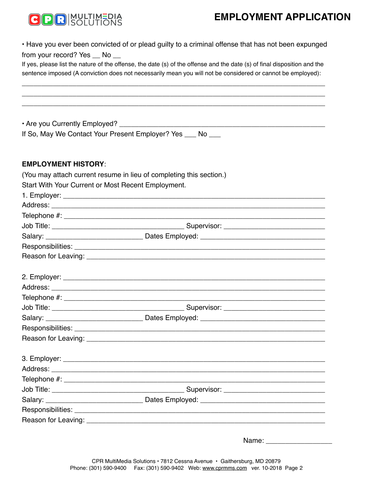## **EMPLOYMENT APPLICATION**



• Have you ever been convicted of or plead guilty to a criminal offense that has not been expunged from your record? Yes \_\_ No \_\_

If yes, please list the nature of the offense, the date (s) of the offense and the date (s) of final disposition and the sentence imposed (A conviction does not necessarily mean you will not be considered or cannot be employed):

\_\_\_\_\_\_\_\_\_\_\_\_\_\_\_\_\_\_\_\_\_\_\_\_\_\_\_\_\_\_\_\_\_\_\_\_\_\_\_\_\_\_\_\_\_\_\_\_\_\_\_\_\_\_\_\_\_\_\_\_\_\_\_\_\_\_\_\_\_\_\_\_\_\_\_\_\_\_\_ \_\_\_\_\_\_\_\_\_\_\_\_\_\_\_\_\_\_\_\_\_\_\_\_\_\_\_\_\_\_\_\_\_\_\_\_\_\_\_\_\_\_\_\_\_\_\_\_\_\_\_\_\_\_\_\_\_\_\_\_\_\_\_\_\_\_\_\_\_\_\_\_\_\_\_\_\_\_\_ \_\_\_\_\_\_\_\_\_\_\_\_\_\_\_\_\_\_\_\_\_\_\_\_\_\_\_\_\_\_\_\_\_\_\_\_\_\_\_\_\_\_\_\_\_\_\_\_\_\_\_\_\_\_\_\_\_\_\_\_\_\_\_\_\_\_\_\_\_\_\_\_\_\_\_\_\_\_\_

| . Are you Currently Employed? |  |
|-------------------------------|--|
|                               |  |

|  |  |  |  |  | If So, May We Contact Your Present Employer? Yes |  |  |
|--|--|--|--|--|--------------------------------------------------|--|--|
|--|--|--|--|--|--------------------------------------------------|--|--|

### **EMPLOYMENT HISTORY**:

|                                                    | (You may attach current resume in lieu of completing this section.) |  |
|----------------------------------------------------|---------------------------------------------------------------------|--|
| Start With Your Current or Most Recent Employment. |                                                                     |  |
|                                                    |                                                                     |  |
|                                                    |                                                                     |  |
|                                                    |                                                                     |  |
|                                                    |                                                                     |  |
|                                                    |                                                                     |  |
|                                                    |                                                                     |  |
|                                                    |                                                                     |  |
|                                                    |                                                                     |  |
|                                                    |                                                                     |  |
|                                                    |                                                                     |  |
|                                                    |                                                                     |  |
|                                                    |                                                                     |  |
|                                                    |                                                                     |  |
|                                                    |                                                                     |  |
|                                                    |                                                                     |  |
|                                                    |                                                                     |  |
|                                                    |                                                                     |  |
|                                                    |                                                                     |  |
|                                                    |                                                                     |  |
|                                                    |                                                                     |  |
|                                                    |                                                                     |  |

Name: \_\_\_\_\_\_\_\_\_\_\_\_\_\_\_\_\_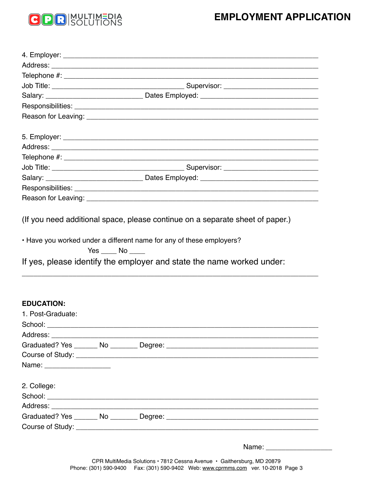## **EMPLOYMENT APPLICATION**



(If you need additional space, please continue on a separate sheet of paper.)

• Have you worked under a different name for any of these employers?

 $Yes$  No  $\_\_$ 

If yes, please identify the employer and state the name worked under:

#### **EDUCATION:**

| 1. Post-Graduate:            |  |  |
|------------------------------|--|--|
|                              |  |  |
|                              |  |  |
|                              |  |  |
|                              |  |  |
| Name: ______________________ |  |  |
|                              |  |  |
| 2. College:                  |  |  |
|                              |  |  |
|                              |  |  |
|                              |  |  |
|                              |  |  |
|                              |  |  |

Name: \_\_\_\_\_\_\_\_\_\_\_\_\_\_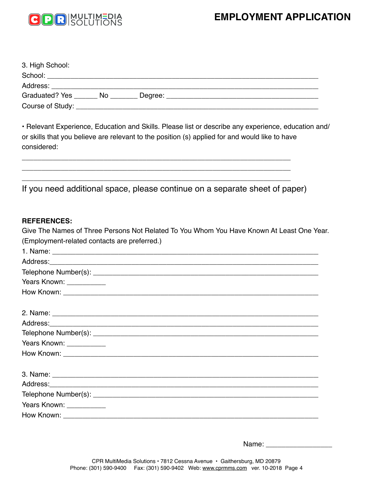## **EMPLOYMENT APPLICATION**



| 3. High School:                                                                                                                                                                                                                |         |  |
|--------------------------------------------------------------------------------------------------------------------------------------------------------------------------------------------------------------------------------|---------|--|
| School: Analysis and the second second second second second second second second second second second second second second second second second second second second second second second second second second second second s |         |  |
| Address:                                                                                                                                                                                                                       |         |  |
| Graduated? Yes ________ No                                                                                                                                                                                                     | Degree: |  |
| Course of Study: <u>Course of Study:</u>                                                                                                                                                                                       |         |  |

• Relevant Experience, Education and Skills. Please list or describe any experience, education and/ or skills that you believe are relevant to the position (s) applied for and would like to have considered:

If you need additional space, please continue on a separate sheet of paper)

\_\_\_\_\_\_\_\_\_\_\_\_\_\_\_\_\_\_\_\_\_\_\_\_\_\_\_\_\_\_\_\_\_\_\_\_\_\_\_\_\_\_\_\_\_\_\_\_\_\_\_\_\_\_\_\_\_\_\_\_\_\_\_\_\_\_\_\_\_ \_\_\_\_\_\_\_\_\_\_\_\_\_\_\_\_\_\_\_\_\_\_\_\_\_\_\_\_\_\_\_\_\_\_\_\_\_\_\_\_\_\_\_\_\_\_\_\_\_\_\_\_\_\_\_\_\_\_\_\_\_\_\_\_\_\_\_\_\_ \_\_\_\_\_\_\_\_\_\_\_\_\_\_\_\_\_\_\_\_\_\_\_\_\_\_\_\_\_\_\_\_\_\_\_\_\_\_\_\_\_\_\_\_\_\_\_\_\_\_\_\_\_\_\_\_\_\_\_\_\_\_\_\_\_\_\_\_\_

## **REFERENCES:**

Give The Names of Three Persons Not Related To You Whom You Have Known At Least One Year. (Employment-related contacts are preferred.)

Name: \_\_\_\_\_\_\_\_\_\_\_\_\_\_\_\_\_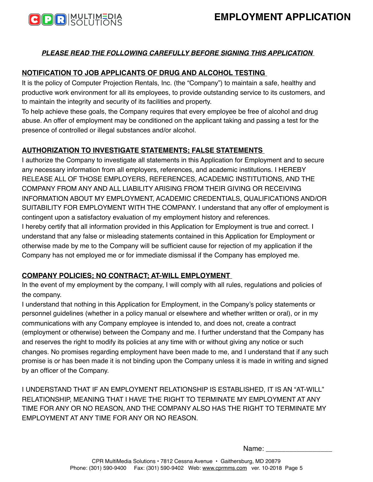

## *PLEASE READ THE FOLLOWING CAREFULLY BEFORE SIGNING THIS APPLICATION*

## **NOTIFICATION TO JOB APPLICANTS OF DRUG AND ALCOHOL TESTING**

It is the policy of Computer Projection Rentals, Inc. (the "Company") to maintain a safe, healthy and productive work environment for all its employees, to provide outstanding service to its customers, and to maintain the integrity and security of its facilities and property.

To help achieve these goals, the Company requires that every employee be free of alcohol and drug abuse. An offer of employment may be conditioned on the applicant taking and passing a test for the presence of controlled or illegal substances and/or alcohol.

## **AUTHORIZATION TO INVESTIGATE STATEMENTS; FALSE STATEMENTS**

I authorize the Company to investigate all statements in this Application for Employment and to secure any necessary information from all employers, references, and academic institutions. I HEREBY RELEASE ALL OF THOSE EMPLOYERS, REFERENCES, ACADEMIC INSTITUTIONS, AND THE COMPANY FROM ANY AND ALL LIABILITY ARISING FROM THEIR GIVING OR RECEIVING INFORMATION ABOUT MY EMPLOYMENT, ACADEMIC CREDENTIALS, QUALIFICATIONS AND/OR SUITABILITY FOR EMPLOYMENT WITH THE COMPANY. I understand that any offer of employment is contingent upon a satisfactory evaluation of my employment history and references.

I hereby certify that all information provided in this Application for Employment is true and correct. I understand that any false or misleading statements contained in this Application for Employment or otherwise made by me to the Company will be sufficient cause for rejection of my application if the Company has not employed me or for immediate dismissal if the Company has employed me.

### **COMPANY POLICIES; NO CONTRACT; AT-WILL EMPLOYMENT**

In the event of my employment by the company, I will comply with all rules, regulations and policies of the company.

I understand that nothing in this Application for Employment, in the Company's policy statements or personnel guidelines (whether in a policy manual or elsewhere and whether written or oral), or in my communications with any Company employee is intended to, and does not, create a contract (employment or otherwise) between the Company and me. I further understand that the Company has and reserves the right to modify its policies at any time with or without giving any notice or such changes. No promises regarding employment have been made to me, and I understand that if any such promise is or has been made it is not binding upon the Company unless it is made in writing and signed by an officer of the Company.

I UNDERSTAND THAT IF AN EMPLOYMENT RELATIONSHIP IS ESTABLISHED, IT IS AN "AT-WILL" RELATIONSHIP, MEANING THAT I HAVE THE RIGHT TO TERMINATE MY EMPLOYMENT AT ANY TIME FOR ANY OR NO REASON, AND THE COMPANY ALSO HAS THE RIGHT TO TERMINATE MY EMPLOYMENT AT ANY TIME FOR ANY OR NO REASON.

Name: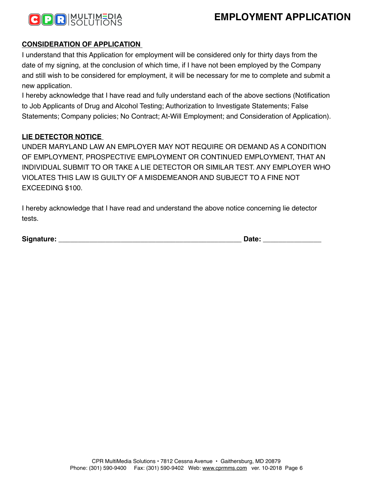



## **CONSIDERATION OF APPLICATION**

I understand that this Application for employment will be considered only for thirty days from the date of my signing, at the conclusion of which time, if I have not been employed by the Company and still wish to be considered for employment, it will be necessary for me to complete and submit a new application.

I hereby acknowledge that I have read and fully understand each of the above sections (Notification to Job Applicants of Drug and Alcohol Testing; Authorization to Investigate Statements; False Statements; Company policies; No Contract; At-Will Employment; and Consideration of Application).

### **LIE DETECTOR NOTICE**

UNDER MARYLAND LAW AN EMPLOYER MAY NOT REQUIRE OR DEMAND AS A CONDITION OF EMPLOYMENT, PROSPECTIVE EMPLOYMENT OR CONTINUED EMPLOYMENT, THAT AN INDIVIDUAL SUBMIT TO OR TAKE A LIE DETECTOR OR SIMILAR TEST. ANY EMPLOYER WHO VIOLATES THIS LAW IS GUILTY OF A MISDEMEANOR AND SUBJECT TO A FINE NOT EXCEEDING \$100.

I hereby acknowledge that I have read and understand the above notice concerning lie detector tests.

| Signature: | ale<br>__ |
|------------|-----------|
|            |           |